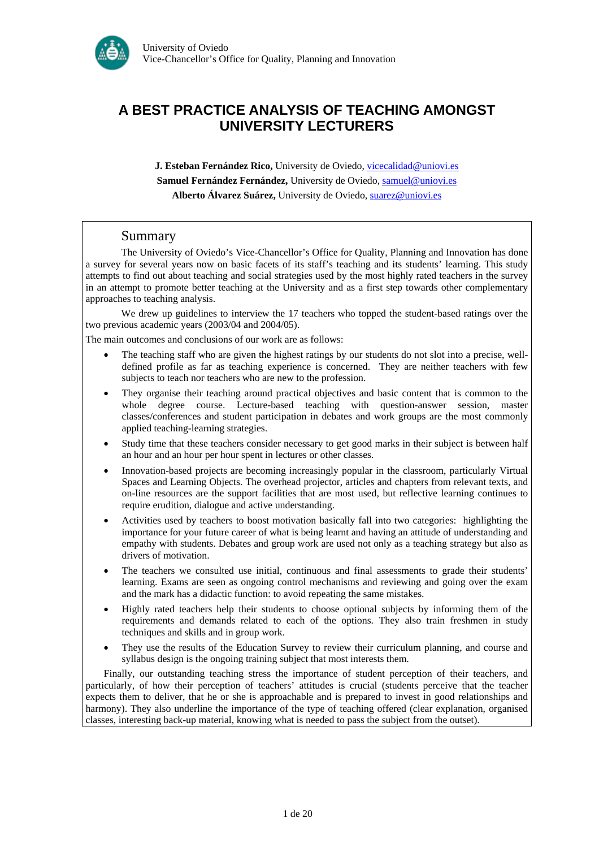

# **A BEST PRACTICE ANALYSIS OF TEACHING AMONGST UNIVERSITY LECTURERS**

**J. Esteban Fernández Rico,** University de Oviedo, [vicecalidad@uniovi.es](mailto:vicecalidad@uniovi.es) Samuel Fernández Fernández, University de Oviedo, [samuel@uniovi.es](mailto:samuel@uniovi.es) **Alberto Álvarez Suárez,** University de Oviedo, [suarez@uniovi.es](mailto:suarez@uniovi.es)

#### Summary

The University of Oviedo's Vice-Chancellor's Office for Quality, Planning and Innovation has done a survey for several years now on basic facets of its staff's teaching and its students' learning. This study attempts to find out about teaching and social strategies used by the most highly rated teachers in the survey in an attempt to promote better teaching at the University and as a first step towards other complementary approaches to teaching analysis.

We drew up guidelines to interview the 17 teachers who topped the student-based ratings over the two previous academic years (2003/04 and 2004/05).

The main outcomes and conclusions of our work are as follows:

- The teaching staff who are given the highest ratings by our students do not slot into a precise, welldefined profile as far as teaching experience is concerned. They are neither teachers with few subjects to teach nor teachers who are new to the profession.
- They organise their teaching around practical objectives and basic content that is common to the whole degree course. Lecture-based teaching with question-answer session, master classes/conferences and student participation in debates and work groups are the most commonly applied teaching-learning strategies.
- Study time that these teachers consider necessary to get good marks in their subject is between half an hour and an hour per hour spent in lectures or other classes.
- Innovation-based projects are becoming increasingly popular in the classroom, particularly Virtual Spaces and Learning Objects. The overhead projector, articles and chapters from relevant texts, and on-line resources are the support facilities that are most used, but reflective learning continues to require erudition, dialogue and active understanding.
- Activities used by teachers to boost motivation basically fall into two categories: highlighting the importance for your future career of what is being learnt and having an attitude of understanding and empathy with students. Debates and group work are used not only as a teaching strategy but also as drivers of motivation.
- The teachers we consulted use initial, continuous and final assessments to grade their students' learning. Exams are seen as ongoing control mechanisms and reviewing and going over the exam and the mark has a didactic function: to avoid repeating the same mistakes.
- Highly rated teachers help their students to choose optional subjects by informing them of the requirements and demands related to each of the options. They also train freshmen in study techniques and skills and in group work.
- They use the results of the Education Survey to review their curriculum planning, and course and syllabus design is the ongoing training subject that most interests them.

Finally, our outstanding teaching stress the importance of student perception of their teachers, and particularly, of how their perception of teachers' attitudes is crucial (students perceive that the teacher expects them to deliver, that he or she is approachable and is prepared to invest in good relationships and harmony). They also underline the importance of the type of teaching offered (clear explanation, organised classes, interesting back-up material, knowing what is needed to pass the subject from the outset).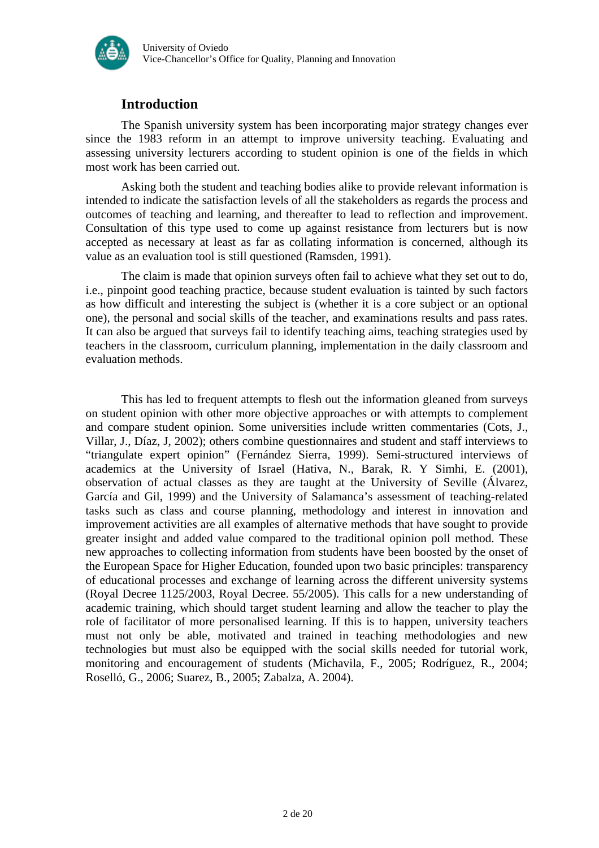

# **Introduction**

The Spanish university system has been incorporating major strategy changes ever since the 1983 reform in an attempt to improve university teaching. Evaluating and assessing university lecturers according to student opinion is one of the fields in which most work has been carried out.

Asking both the student and teaching bodies alike to provide relevant information is intended to indicate the satisfaction levels of all the stakeholders as regards the process and outcomes of teaching and learning, and thereafter to lead to reflection and improvement. Consultation of this type used to come up against resistance from lecturers but is now accepted as necessary at least as far as collating information is concerned, although its value as an evaluation tool is still questioned (Ramsden, 1991).

The claim is made that opinion surveys often fail to achieve what they set out to do, i.e., pinpoint good teaching practice, because student evaluation is tainted by such factors as how difficult and interesting the subject is (whether it is a core subject or an optional one), the personal and social skills of the teacher, and examinations results and pass rates. It can also be argued that surveys fail to identify teaching aims, teaching strategies used by teachers in the classroom, curriculum planning, implementation in the daily classroom and evaluation methods.

This has led to frequent attempts to flesh out the information gleaned from surveys on student opinion with other more objective approaches or with attempts to complement and compare student opinion. Some universities include written commentaries (Cots, J., Villar, J., Díaz, J, 2002); others combine questionnaires and student and staff interviews to "triangulate expert opinion" (Fernández Sierra, 1999). Semi-structured interviews of academics at the University of Israel (Hativa, N., Barak, R. Y Simhi, E. (2001), observation of actual classes as they are taught at the University of Seville (Álvarez, García and Gil, 1999) and the University of Salamanca's assessment of teaching-related tasks such as class and course planning, methodology and interest in innovation and improvement activities are all examples of alternative methods that have sought to provide greater insight and added value compared to the traditional opinion poll method. These new approaches to collecting information from students have been boosted by the onset of the European Space for Higher Education, founded upon two basic principles: transparency of educational processes and exchange of learning across the different university systems (Royal Decree 1125/2003, Royal Decree. 55/2005). This calls for a new understanding of academic training, which should target student learning and allow the teacher to play the role of facilitator of more personalised learning. If this is to happen, university teachers must not only be able, motivated and trained in teaching methodologies and new technologies but must also be equipped with the social skills needed for tutorial work, monitoring and encouragement of students (Michavila, F., 2005; Rodríguez, R., 2004; Roselló, G., 2006; Suarez, B., 2005; Zabalza, A. 2004).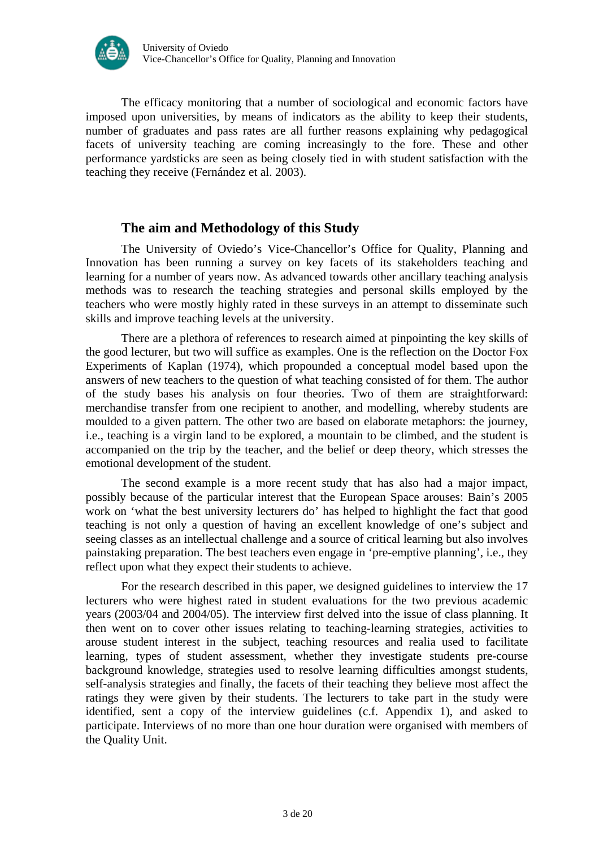

The efficacy monitoring that a number of sociological and economic factors have imposed upon universities, by means of indicators as the ability to keep their students, number of graduates and pass rates are all further reasons explaining why pedagogical facets of university teaching are coming increasingly to the fore. These and other performance yardsticks are seen as being closely tied in with student satisfaction with the teaching they receive (Fernández et al. 2003).

## **The aim and Methodology of this Study**

The University of Oviedo's Vice-Chancellor's Office for Quality, Planning and Innovation has been running a survey on key facets of its stakeholders teaching and learning for a number of years now. As advanced towards other ancillary teaching analysis methods was to research the teaching strategies and personal skills employed by the teachers who were mostly highly rated in these surveys in an attempt to disseminate such skills and improve teaching levels at the university.

There are a plethora of references to research aimed at pinpointing the key skills of the good lecturer, but two will suffice as examples. One is the reflection on the Doctor Fox Experiments of Kaplan (1974), which propounded a conceptual model based upon the answers of new teachers to the question of what teaching consisted of for them. The author of the study bases his analysis on four theories. Two of them are straightforward: merchandise transfer from one recipient to another, and modelling, whereby students are moulded to a given pattern. The other two are based on elaborate metaphors: the journey, i.e., teaching is a virgin land to be explored, a mountain to be climbed, and the student is accompanied on the trip by the teacher, and the belief or deep theory, which stresses the emotional development of the student.

The second example is a more recent study that has also had a major impact, possibly because of the particular interest that the European Space arouses: Bain's 2005 work on 'what the best university lecturers do' has helped to highlight the fact that good teaching is not only a question of having an excellent knowledge of one's subject and seeing classes as an intellectual challenge and a source of critical learning but also involves painstaking preparation. The best teachers even engage in 'pre-emptive planning', i.e., they reflect upon what they expect their students to achieve.

For the research described in this paper, we designed guidelines to interview the 17 lecturers who were highest rated in student evaluations for the two previous academic years (2003/04 and 2004/05). The interview first delved into the issue of class planning. It then went on to cover other issues relating to teaching-learning strategies, activities to arouse student interest in the subject, teaching resources and realia used to facilitate learning, types of student assessment, whether they investigate students pre-course background knowledge, strategies used to resolve learning difficulties amongst students, self-analysis strategies and finally, the facets of their teaching they believe most affect the ratings they were given by their students. The lecturers to take part in the study were identified, sent a copy of the interview guidelines (c.f. Appendix 1), and asked to participate. Interviews of no more than one hour duration were organised with members of the Quality Unit.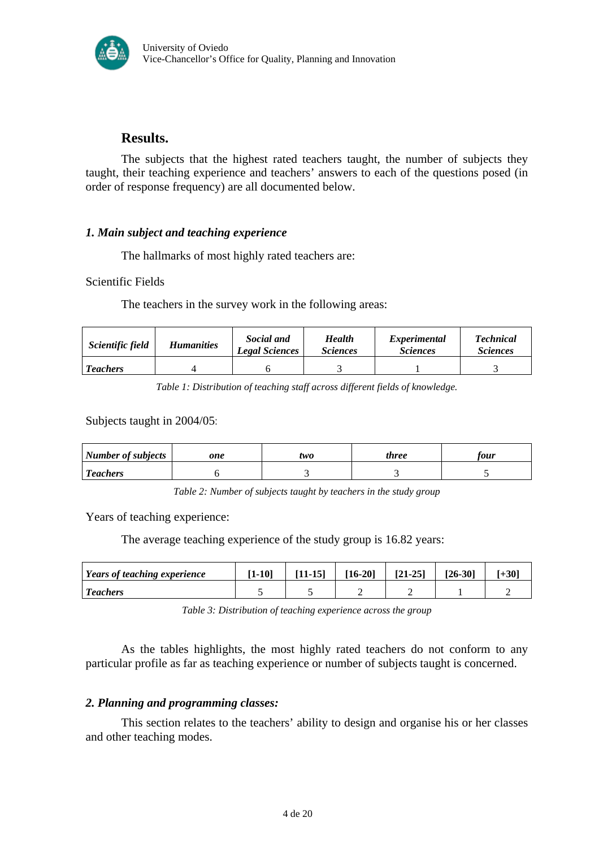

## **Results.**

The subjects that the highest rated teachers taught, the number of subjects they taught, their teaching experience and teachers' answers to each of the questions posed (in order of response frequency) are all documented below.

## *1. Main subject and teaching experience*

The hallmarks of most highly rated teachers are:

Scientific Fields

The teachers in the survey work in the following areas:

| Scientific field | <b>Humanities</b> | Social and<br><b>Legal Sciences</b> | <b>Health</b><br><i>Sciences</i> | Experimental<br><i>Sciences</i> | <b>Technical</b><br><i>Sciences</i> |
|------------------|-------------------|-------------------------------------|----------------------------------|---------------------------------|-------------------------------------|
| <b>Teachers</b>  |                   |                                     |                                  |                                 |                                     |

*Table 1: Distribution of teaching staff across different fields of knowledge.* 

Subjects taught in 2004/05:

| Number of subjects | one | two | three | tour |
|--------------------|-----|-----|-------|------|
| <b>Teachers</b>    |     |     |       |      |

*Table 2: Number of subjects taught by teachers in the study group* 

Years of teaching experience:

The average teaching experience of the study group is 16.82 years:

| Years of teaching experience | $1 - 10$ | [11-15] | $[16-20]$ | $[21-25]$ | $126 - 301$ | $+30^\circ$ |
|------------------------------|----------|---------|-----------|-----------|-------------|-------------|
| <b>Teachers</b>              |          |         |           |           |             |             |

*Table 3: Distribution of teaching experience across the group* 

As the tables highlights, the most highly rated teachers do not conform to any particular profile as far as teaching experience or number of subjects taught is concerned.

#### *2. Planning and programming classes:*

This section relates to the teachers' ability to design and organise his or her classes and other teaching modes.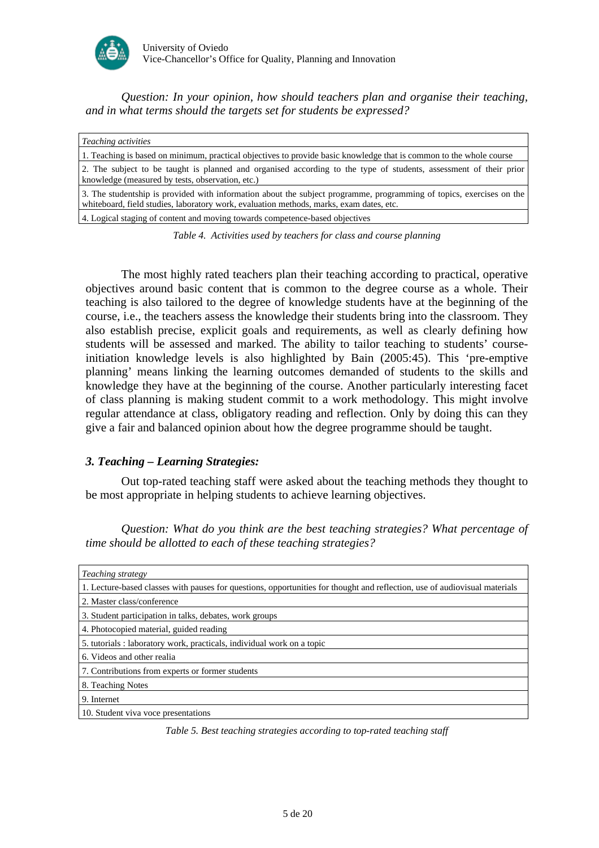

*Question: In your opinion, how should teachers plan and organise their teaching, and in what terms should the targets set for students be expressed?* 

| <i>Teaching activities</i>                                                                                                                                                                                      |
|-----------------------------------------------------------------------------------------------------------------------------------------------------------------------------------------------------------------|
| 1. Teaching is based on minimum, practical objectives to provide basic knowledge that is common to the whole course                                                                                             |
| 2. The subject to be taught is planned and organised according to the type of students, assessment of their prior<br>knowledge (measured by tests, observation, etc.)                                           |
| 3. The studentship is provided with information about the subject programme, programming of topics, exercises on the<br>whiteboard, field studies, laboratory work, evaluation methods, marks, exam dates, etc. |
| 4. Logical staging of content and moving towards competence-based objectives                                                                                                                                    |

*Table 4. Activities used by teachers for class and course planning* 

The most highly rated teachers plan their teaching according to practical, operative objectives around basic content that is common to the degree course as a whole. Their teaching is also tailored to the degree of knowledge students have at the beginning of the course, i.e., the teachers assess the knowledge their students bring into the classroom. They also establish precise, explicit goals and requirements, as well as clearly defining how students will be assessed and marked. The ability to tailor teaching to students' courseinitiation knowledge levels is also highlighted by Bain (2005:45). This 'pre-emptive planning' means linking the learning outcomes demanded of students to the skills and knowledge they have at the beginning of the course. Another particularly interesting facet of class planning is making student commit to a work methodology. This might involve regular attendance at class, obligatory reading and reflection. Only by doing this can they give a fair and balanced opinion about how the degree programme should be taught.

#### *3. Teaching – Learning Strategies:*

Out top-rated teaching staff were asked about the teaching methods they thought to be most appropriate in helping students to achieve learning objectives.

*Question: What do you think are the best teaching strategies? What percentage of time should be allotted to each of these teaching strategies?* 

| <i>Teaching strategy</i>                                                                                                   |
|----------------------------------------------------------------------------------------------------------------------------|
| 1. Lecture-based classes with pauses for questions, opportunities for thought and reflection, use of audiovisual materials |
| 2. Master class/conference                                                                                                 |
| 3. Student participation in talks, debates, work groups                                                                    |
| 4. Photocopied material, guided reading                                                                                    |
| 5. tutorials : laboratory work, practicals, individual work on a topic                                                     |
| 6. Videos and other realia                                                                                                 |
| 7. Contributions from experts or former students                                                                           |
| 8. Teaching Notes                                                                                                          |
| 9. Internet                                                                                                                |
| 10. Student viva voce presentations                                                                                        |

*Table 5. Best teaching strategies according to top-rated teaching staff*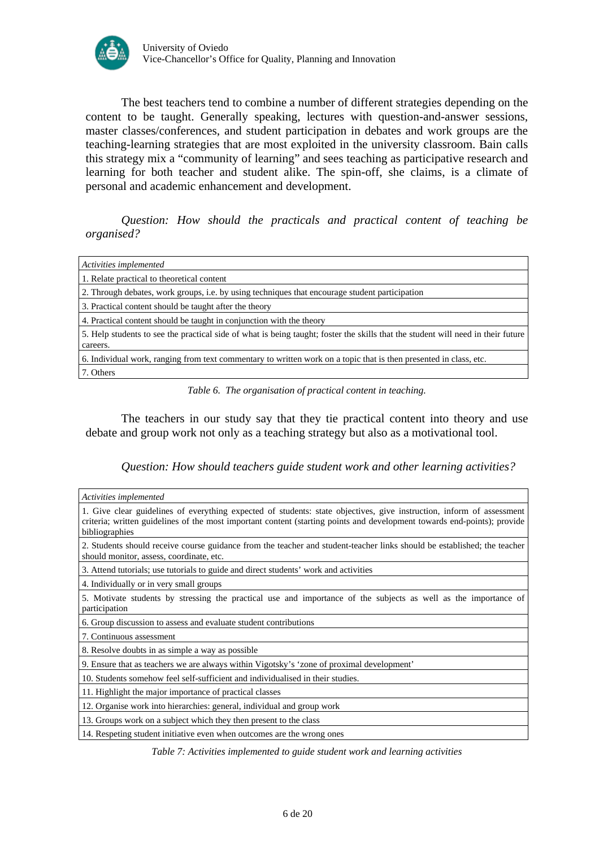

The best teachers tend to combine a number of different strategies depending on the content to be taught. Generally speaking, lectures with question-and-answer sessions, master classes/conferences, and student participation in debates and work groups are the teaching-learning strategies that are most exploited in the university classroom. Bain calls this strategy mix a "community of learning" and sees teaching as participative research and learning for both teacher and student alike. The spin-off, she claims, is a climate of personal and academic enhancement and development.

*Question: How should the practicals and practical content of teaching be organised?* 

| Activities implemented                                                                                                                       |
|----------------------------------------------------------------------------------------------------------------------------------------------|
| 1. Relate practical to theoretical content                                                                                                   |
| 2. Through debates, work groups, i.e. by using techniques that encourage student participation                                               |
| 3. Practical content should be taught after the theory                                                                                       |
| 4. Practical content should be taught in conjunction with the theory                                                                         |
| 5. Help students to see the practical side of what is being taught; foster the skills that the student will need in their future<br>careers. |
| 6. Individual work, ranging from text commentary to written work on a topic that is then presented in class, etc.                            |
| 7. Others                                                                                                                                    |

*Table 6. The organisation of practical content in teaching.* 

The teachers in our study say that they tie practical content into theory and use debate and group work not only as a teaching strategy but also as a motivational tool.

*Question: How should teachers guide student work and other learning activities?* 

| Activities implemented                                                                                                                                                                                                                                              |
|---------------------------------------------------------------------------------------------------------------------------------------------------------------------------------------------------------------------------------------------------------------------|
| 1. Give clear guidelines of everything expected of students: state objectives, give instruction, inform of assessment<br>criteria; written guidelines of the most important content (starting points and development towards end-points); provide<br>bibliographies |
| 2. Students should receive course guidance from the teacher and student-teacher links should be established; the teacher<br>should monitor, assess, coordinate, etc.                                                                                                |
| 3. Attend tutorials; use tutorials to guide and direct students' work and activities                                                                                                                                                                                |
| 4. Individually or in very small groups                                                                                                                                                                                                                             |
| 5. Motivate students by stressing the practical use and importance of the subjects as well as the importance of<br>participation                                                                                                                                    |
| 6. Group discussion to assess and evaluate student contributions                                                                                                                                                                                                    |
| 7. Continuous assessment                                                                                                                                                                                                                                            |
| 8. Resolve doubts in as simple a way as possible.                                                                                                                                                                                                                   |
| 9. Ensure that as teachers we are always within Vigotsky's 'zone of proximal development'                                                                                                                                                                           |
| 10. Students somehow feel self-sufficient and individualised in their studies.                                                                                                                                                                                      |
| 11. Highlight the major importance of practical classes                                                                                                                                                                                                             |
| 12. Organise work into hierarchies: general, individual and group work                                                                                                                                                                                              |
| 13. Groups work on a subject which they then present to the class                                                                                                                                                                                                   |
| 14. Respeting student initiative even when outcomes are the wrong ones                                                                                                                                                                                              |

*Table 7: Activities implemented to guide student work and learning activities*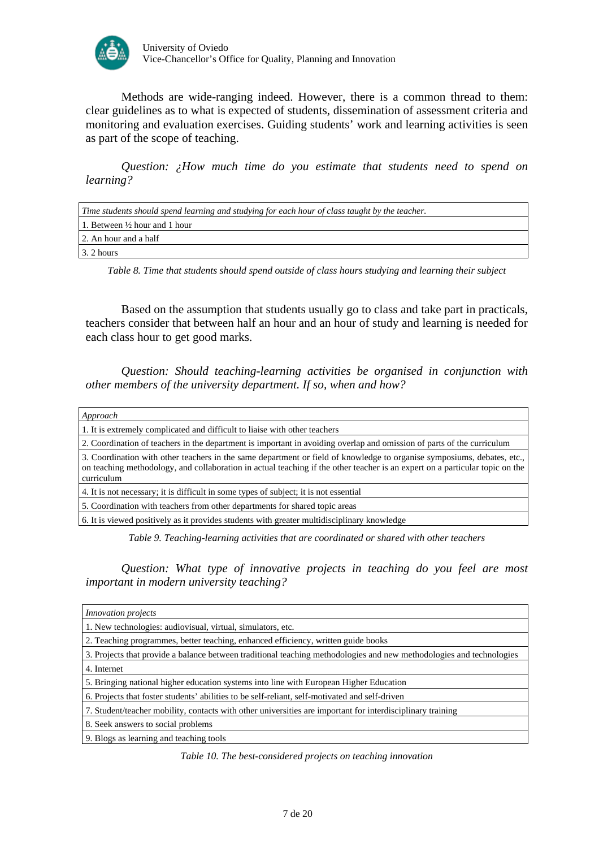

Methods are wide-ranging indeed. However, there is a common thread to them: clear guidelines as to what is expected of students, dissemination of assessment criteria and monitoring and evaluation exercises. Guiding students' work and learning activities is seen as part of the scope of teaching.

*Question: ¿How much time do you estimate that students need to spend on learning?* 

| Time students should spend learning and studying for each hour of class taught by the teacher. |
|------------------------------------------------------------------------------------------------|
| 1. Between $\frac{1}{2}$ hour and 1 hour                                                       |
| 2. An hour and a half                                                                          |
| 3. 2 hours                                                                                     |

*Table 8. Time that students should spend outside of class hours studying and learning their subject* 

Based on the assumption that students usually go to class and take part in practicals, teachers consider that between half an hour and an hour of study and learning is needed for each class hour to get good marks.

*Question: Should teaching-learning activities be organised in conjunction with other members of the university department. If so, when and how?* 

| Approach                                                                                                                                                                                                                                                              |
|-----------------------------------------------------------------------------------------------------------------------------------------------------------------------------------------------------------------------------------------------------------------------|
| 1. It is extremely complicated and difficult to liaise with other teachers                                                                                                                                                                                            |
| 2. Coordination of teachers in the department is important in avoiding overlap and omission of parts of the curriculum                                                                                                                                                |
| 3. Coordination with other teachers in the same department or field of knowledge to organise symposiums, debates, etc.,<br>on teaching methodology, and collaboration in actual teaching if the other teacher is an expert on a particular topic on the<br>curriculum |
| 4. It is not necessary; it is difficult in some types of subject; it is not essential                                                                                                                                                                                 |
| 5. Coordination with teachers from other departments for shared topic areas                                                                                                                                                                                           |
| 6. It is viewed positively as it provides students with greater multidisciplinary knowledge                                                                                                                                                                           |
|                                                                                                                                                                                                                                                                       |

*Table 9. Teaching-learning activities that are coordinated or shared with other teachers* 

*Question: What type of innovative projects in teaching do you feel are most important in modern university teaching?* 

| <i>Innovation projects</i>                                                                                           |
|----------------------------------------------------------------------------------------------------------------------|
| 1. New technologies: audiovisual, virtual, simulators, etc.                                                          |
| 2. Teaching programmes, better teaching, enhanced efficiency, written guide books                                    |
| 3. Projects that provide a balance between traditional teaching methodologies and new methodologies and technologies |
| 4. Internet                                                                                                          |
| 5. Bringing national higher education systems into line with European Higher Education                               |
| 6. Projects that foster students' abilities to be self-reliant, self-motivated and self-driven                       |
| 7. Student/teacher mobility, contacts with other universities are important for interdisciplinary training           |
| 8. Seek answers to social problems                                                                                   |
| 9. Blogs as learning and teaching tools                                                                              |

*Table 10. The best-considered projects on teaching innovation*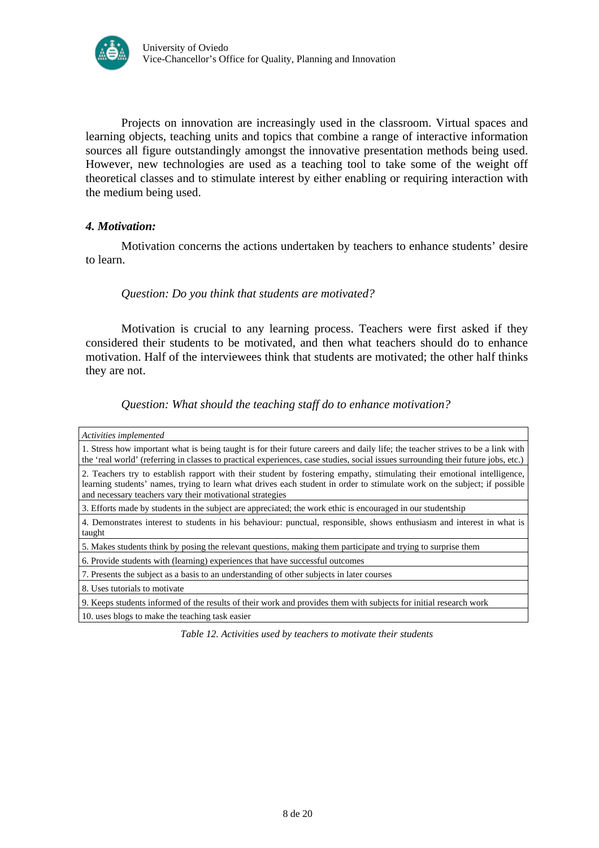

Projects on innovation are increasingly used in the classroom. Virtual spaces and learning objects, teaching units and topics that combine a range of interactive information sources all figure outstandingly amongst the innovative presentation methods being used. However, new technologies are used as a teaching tool to take some of the weight off theoretical classes and to stimulate interest by either enabling or requiring interaction with the medium being used.

#### *4. Motivation:*

Motivation concerns the actions undertaken by teachers to enhance students' desire to learn.

## *Question: Do you think that students are motivated?*

Motivation is crucial to any learning process. Teachers were first asked if they considered their students to be motivated, and then what teachers should do to enhance motivation. Half of the interviewees think that students are motivated; the other half thinks they are not.

*Question: What should the teaching staff do to enhance motivation?* 

| Activities implemented                                                                                                                                                                                                                                                                                            |
|-------------------------------------------------------------------------------------------------------------------------------------------------------------------------------------------------------------------------------------------------------------------------------------------------------------------|
| 1. Stress how important what is being taught is for their future careers and daily life; the teacher strives to be a link with<br>the 'real world' (referring in classes to practical experiences, case studies, social issues surrounding their future jobs, etc.)                                               |
| 2. Teachers try to establish rapport with their student by fostering empathy, stimulating their emotional intelligence,<br>learning students' names, trying to learn what drives each student in order to stimulate work on the subject; if possible<br>and necessary teachers vary their motivational strategies |
| 3. Efforts made by students in the subject are appreciated; the work ethic is encouraged in our studentship                                                                                                                                                                                                       |
| 4. Demonstrates interest to students in his behaviour: punctual, responsible, shows enthusiasm and interest in what is<br>taught                                                                                                                                                                                  |
| 5. Makes students think by posing the relevant questions, making them participate and trying to surprise them                                                                                                                                                                                                     |
| 6. Provide students with (learning) experiences that have successful outcomes                                                                                                                                                                                                                                     |
| 7. Presents the subject as a basis to an understanding of other subjects in later courses                                                                                                                                                                                                                         |
| 8. Uses tutorials to motivate                                                                                                                                                                                                                                                                                     |
| 9. Keeps students informed of the results of their work and provides them with subjects for initial research work                                                                                                                                                                                                 |
| 10. uses blogs to make the teaching task easier                                                                                                                                                                                                                                                                   |
|                                                                                                                                                                                                                                                                                                                   |

*Table 12. Activities used by teachers to motivate their students*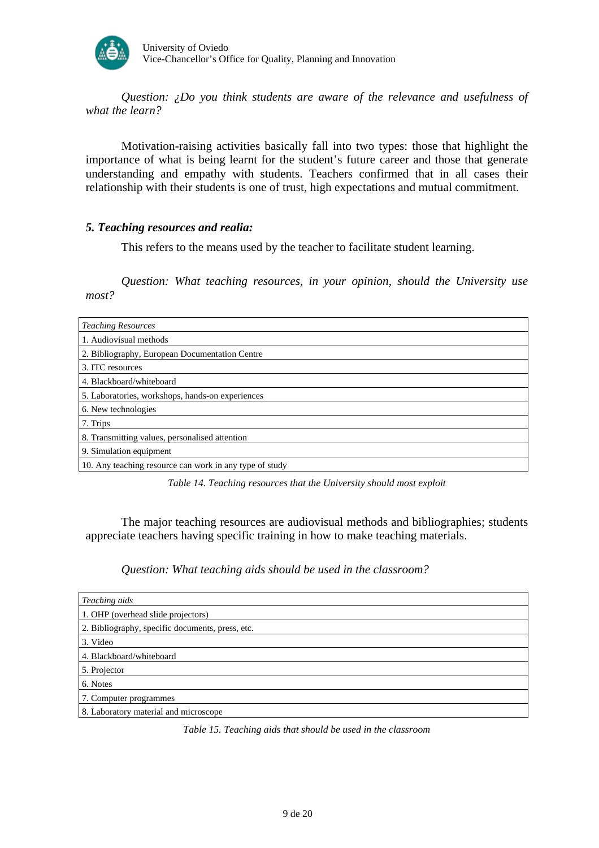

*Question: ¿Do you think students are aware of the relevance and usefulness of what the learn?* 

Motivation-raising activities basically fall into two types: those that highlight the importance of what is being learnt for the student's future career and those that generate understanding and empathy with students. Teachers confirmed that in all cases their relationship with their students is one of trust, high expectations and mutual commitment.

#### *5. Teaching resources and realia:*

This refers to the means used by the teacher to facilitate student learning.

*Question: What teaching resources, in your opinion, should the University use most?* 

| <b>Teaching Resources</b>                               |
|---------------------------------------------------------|
| 1. Audiovisual methods                                  |
| 2. Bibliography, European Documentation Centre          |
| 3. ITC resources                                        |
| 4. Blackboard/whiteboard                                |
| 5. Laboratories, workshops, hands-on experiences        |
| 6. New technologies                                     |
| 7. Trips                                                |
| 8. Transmitting values, personalised attention          |
| 9. Simulation equipment                                 |
| 10. Any teaching resource can work in any type of study |

*Table 14. Teaching resources that the University should most exploit*

The major teaching resources are audiovisual methods and bibliographies; students appreciate teachers having specific training in how to make teaching materials.

*Question: What teaching aids should be used in the classroom?* 

| Teaching aids                                    |
|--------------------------------------------------|
| 1. OHP (overhead slide projectors)               |
| 2. Bibliography, specific documents, press, etc. |
| 3. Video                                         |
| 4. Blackboard/whiteboard                         |
| 5. Projector                                     |
| 6. Notes                                         |
| 7. Computer programmes                           |
| 8. Laboratory material and microscope            |

*Table 15. Teaching aids that should be used in the classroom*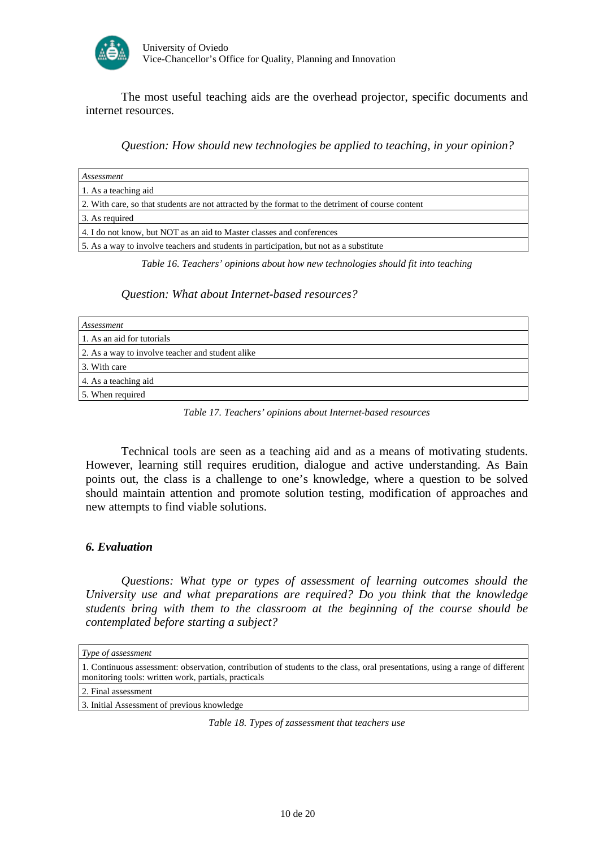

The most useful teaching aids are the overhead projector, specific documents and internet resources.

*Question: How should new technologies be applied to teaching, in your opinion?* 

| Assessment                                                                                        |
|---------------------------------------------------------------------------------------------------|
| 1. As a teaching aid                                                                              |
| 2. With care, so that students are not attracted by the format to the detriment of course content |
| 3. As required                                                                                    |
| 4. I do not know, but NOT as an aid to Master classes and conferences                             |
| 5. As a way to involve teachers and students in participation, but not as a substitute            |

*Table 16. Teachers' opinions about how new technologies should fit into teaching* 

#### *Question: What about Internet-based resources?*

| Assessment                                       |
|--------------------------------------------------|
| 1. As an aid for tutorials                       |
| 2. As a way to involve teacher and student alike |
| 3. With care                                     |
| 4. As a teaching aid                             |
| 5. When required                                 |

*Table 17. Teachers' opinions about Internet-based resources* 

Technical tools are seen as a teaching aid and as a means of motivating students. However, learning still requires erudition, dialogue and active understanding. As Bain points out, the class is a challenge to one's knowledge, where a question to be solved should maintain attention and promote solution testing, modification of approaches and new attempts to find viable solutions.

## *6. Evaluation*

*Questions: What type or types of assessment of learning outcomes should the University use and what preparations are required? Do you think that the knowledge students bring with them to the classroom at the beginning of the course should be contemplated before starting a subject?* 

| Type of assessment                                                                                                                                                                   |
|--------------------------------------------------------------------------------------------------------------------------------------------------------------------------------------|
| 1. Continuous assessment: observation, contribution of students to the class, oral presentations, using a range of different<br>monitoring tools: written work, partials, practicals |
| 2. Final assessment                                                                                                                                                                  |
| 3. Initial Assessment of previous knowledge                                                                                                                                          |
| Table 18. Types of zassessment that teachers use                                                                                                                                     |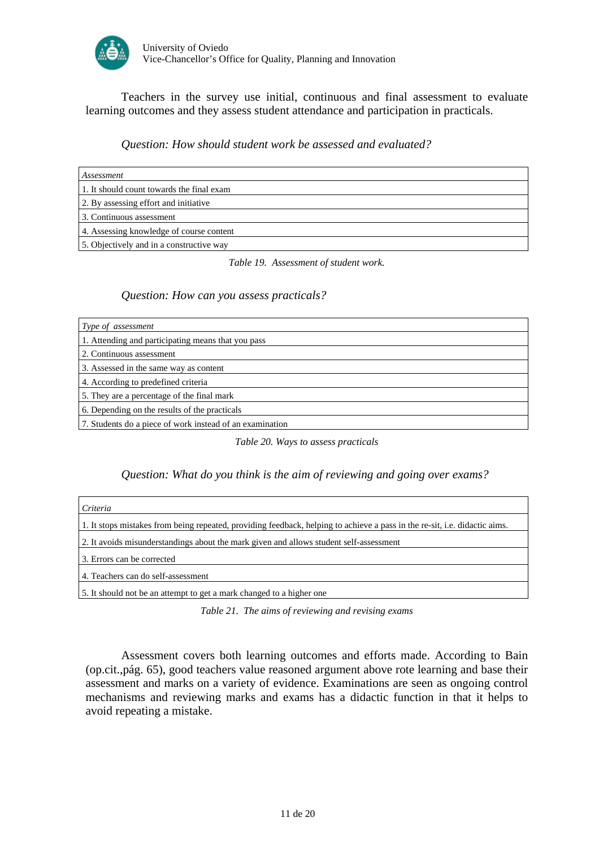

Teachers in the survey use initial, continuous and final assessment to evaluate learning outcomes and they assess student attendance and participation in practicals.

#### *Question: How should student work be assessed and evaluated?*

| Assessment                                |
|-------------------------------------------|
| 1. It should count towards the final exam |
| 2. By assessing effort and initiative     |
| 3. Continuous assessment                  |
| 4. Assessing knowledge of course content  |
| 5. Objectively and in a constructive way  |

*Table 19. Assessment of student work.* 

#### *Question: How can you assess practicals?*

| Type of assessment                                       |  |
|----------------------------------------------------------|--|
| 1. Attending and participating means that you pass       |  |
| 2. Continuous assessment                                 |  |
| 3. Assessed in the same way as content                   |  |
| 4. According to predefined criteria                      |  |
| 5. They are a percentage of the final mark               |  |
| 6. Depending on the results of the practicals            |  |
| 7. Students do a piece of work instead of an examination |  |

*Table 20. Ways to assess practicals* 

#### *Question: What do you think is the aim of reviewing and going over exams?*

| Criteria                                                                                                                   |
|----------------------------------------------------------------------------------------------------------------------------|
| 1. It stops mistakes from being repeated, providing feedback, helping to achieve a pass in the re-sit, i.e. didactic aims. |
| 2. It avoids misunderstandings about the mark given and allows student self-assessment                                     |
| 13. Errors can be corrected                                                                                                |
| 4. Teachers can do self-assessment                                                                                         |
| 5. It should not be an attempt to get a mark changed to a higher one                                                       |

*Table 21. The aims of reviewing and revising exams* 

Assessment covers both learning outcomes and efforts made. According to Bain (op.cit.,pág. 65), good teachers value reasoned argument above rote learning and base their assessment and marks on a variety of evidence. Examinations are seen as ongoing control mechanisms and reviewing marks and exams has a didactic function in that it helps to avoid repeating a mistake.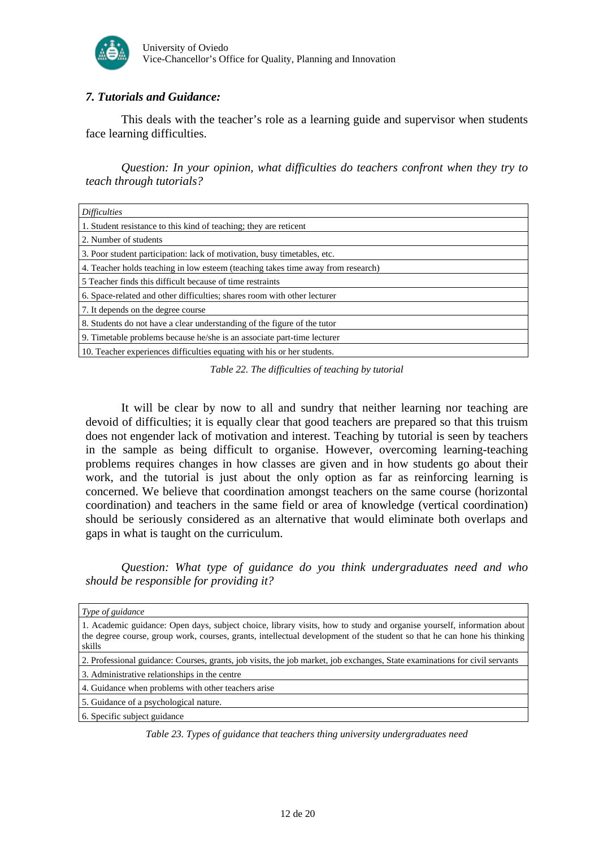

## *7. Tutorials and Guidance:*

This deals with the teacher's role as a learning guide and supervisor when students face learning difficulties.

*Question: In your opinion, what difficulties do teachers confront when they try to teach through tutorials?* 

| <i>Difficulties</i>                                                              |
|----------------------------------------------------------------------------------|
| 1. Student resistance to this kind of teaching; they are reticent                |
| 2. Number of students                                                            |
| 3. Poor student participation: lack of motivation, busy timetables, etc.         |
| 4. Teacher holds teaching in low esteem (teaching takes time away from research) |
| 5 Teacher finds this difficult because of time restraints                        |
| 6. Space-related and other difficulties; shares room with other lecturer         |
| 7. It depends on the degree course                                               |
| 8. Students do not have a clear understanding of the figure of the tutor         |
| 9. Timetable problems because he/she is an associate part-time lecturer          |
| 10. Teacher experiences difficulties equating with his or her students.          |

*Table 22. The difficulties of teaching by tutorial*

It will be clear by now to all and sundry that neither learning nor teaching are devoid of difficulties; it is equally clear that good teachers are prepared so that this truism does not engender lack of motivation and interest. Teaching by tutorial is seen by teachers in the sample as being difficult to organise. However, overcoming learning-teaching problems requires changes in how classes are given and in how students go about their work, and the tutorial is just about the only option as far as reinforcing learning is concerned. We believe that coordination amongst teachers on the same course (horizontal coordination) and teachers in the same field or area of knowledge (vertical coordination) should be seriously considered as an alternative that would eliminate both overlaps and gaps in what is taught on the curriculum.

*Question: What type of guidance do you think undergraduates need and who should be responsible for providing it?* 

| Type of guidance                                                                                                                                                                                                                                             |
|--------------------------------------------------------------------------------------------------------------------------------------------------------------------------------------------------------------------------------------------------------------|
| 1. Academic guidance: Open days, subject choice, library visits, how to study and organise yourself, information about<br>the degree course, group work, courses, grants, intellectual development of the student so that he can hone his thinking<br>skills |
| 2. Professional guidance: Courses, grants, job visits, the job market, job exchanges, State examinations for civil servants                                                                                                                                  |
| 3. Administrative relationships in the centre                                                                                                                                                                                                                |
| 4. Guidance when problems with other teachers arise                                                                                                                                                                                                          |
| 5. Guidance of a psychological nature.                                                                                                                                                                                                                       |
| 6. Specific subject guidance                                                                                                                                                                                                                                 |

*Table 23. Types of guidance that teachers thing university undergraduates need*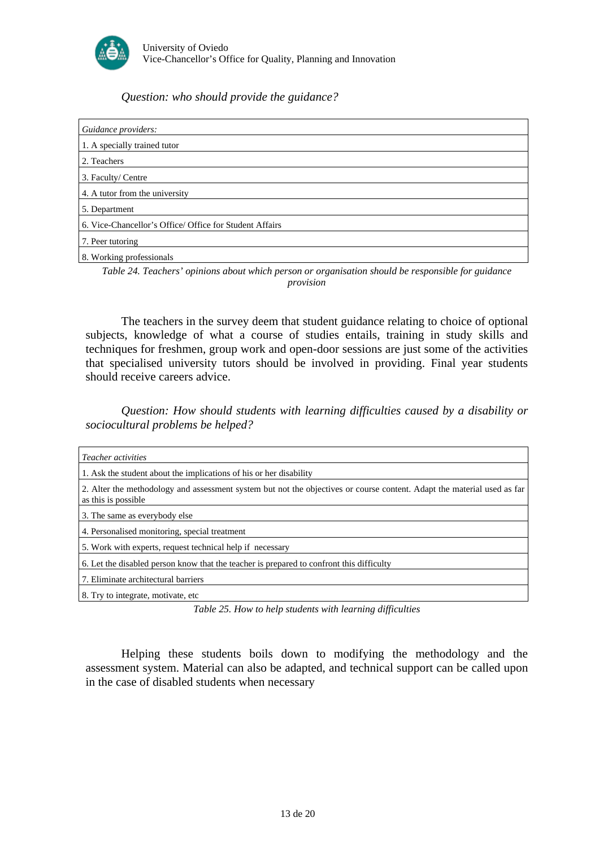

## *Question: who should provide the guidance?*

| Guidance providers:                                     |
|---------------------------------------------------------|
| 1. A specially trained tutor                            |
| 2. Teachers                                             |
| 3. Faculty/ Centre                                      |
| 4. A tutor from the university                          |
| 5. Department                                           |
| 6. Vice-Chancellor's Office/ Office for Student Affairs |
| 7. Peer tutoring                                        |
| 8. Working professionals                                |

*Table 24. Teachers' opinions about which person or organisation should be responsible for guidance provision* 

The teachers in the survey deem that student guidance relating to choice of optional subjects, knowledge of what a course of studies entails, training in study skills and techniques for freshmen, group work and open-door sessions are just some of the activities that specialised university tutors should be involved in providing. Final year students should receive careers advice.

*Question: How should students with learning difficulties caused by a disability or sociocultural problems be helped?* 

| <i>Teacher activities</i>                                                                                                                       |
|-------------------------------------------------------------------------------------------------------------------------------------------------|
| 1. Ask the student about the implications of his or her disability                                                                              |
| 2. Alter the methodology and assessment system but not the objectives or course content. Adapt the material used as far<br>as this is possible. |
| 3. The same as everybody else                                                                                                                   |
| 4. Personalised monitoring, special treatment                                                                                                   |
| 5. Work with experts, request technical help if necessary                                                                                       |
| 6. Let the disabled person know that the teacher is prepared to confront this difficulty                                                        |
| 7. Eliminate architectural barriers                                                                                                             |
| 8. Try to integrate, motivate, etc.                                                                                                             |

*Table 25. How to help students with learning difficulties* 

Helping these students boils down to modifying the methodology and the assessment system. Material can also be adapted, and technical support can be called upon in the case of disabled students when necessary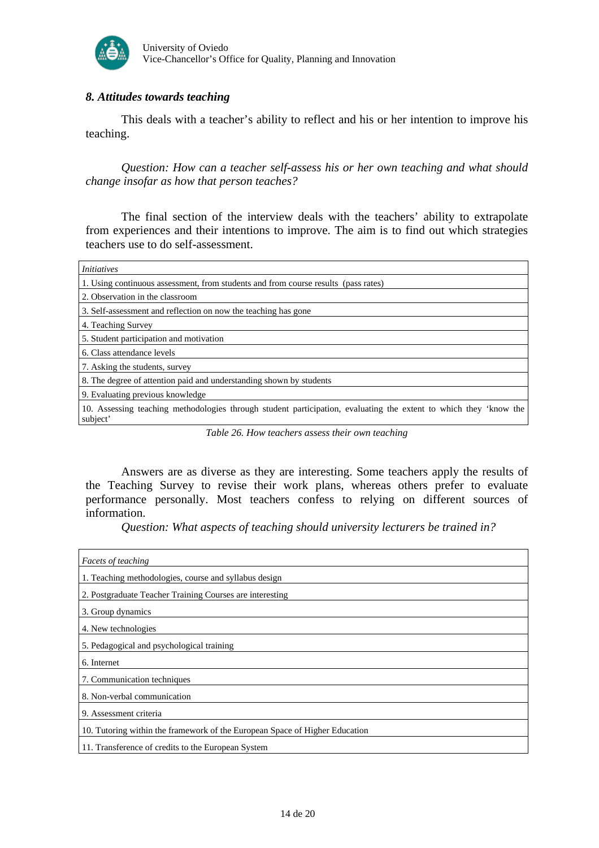

## *8. Attitudes towards teaching*

This deals with a teacher's ability to reflect and his or her intention to improve his teaching.

*Question: How can a teacher self-assess his or her own teaching and what should change insofar as how that person teaches?* 

The final section of the interview deals with the teachers' ability to extrapolate from experiences and their intentions to improve. The aim is to find out which strategies teachers use to do self-assessment.

| <i>Initiatives</i>                                                                                                            |
|-------------------------------------------------------------------------------------------------------------------------------|
| 1. Using continuous assessment, from students and from course results (pass rates)                                            |
| 2. Observation in the classroom                                                                                               |
| 3. Self-assessment and reflection on now the teaching has gone                                                                |
| 4. Teaching Survey                                                                                                            |
| 5. Student participation and motivation                                                                                       |
| 6. Class attendance levels                                                                                                    |
| 7. Asking the students, survey                                                                                                |
| 8. The degree of attention paid and understanding shown by students                                                           |
| 9. Evaluating previous knowledge                                                                                              |
| 10. Assessing teaching methodologies through student participation, evaluating the extent to which they 'know the<br>subject' |

*Table 26. How teachers assess their own teaching* 

Answers are as diverse as they are interesting. Some teachers apply the results of the Teaching Survey to revise their work plans, whereas others prefer to evaluate performance personally. Most teachers confess to relying on different sources of information.

*Question: What aspects of teaching should university lecturers be trained in?* 

| <i>Facets of teaching</i>                                                   |
|-----------------------------------------------------------------------------|
| 1. Teaching methodologies, course and syllabus design                       |
| 2. Postgraduate Teacher Training Courses are interesting                    |
| 3. Group dynamics                                                           |
| 4. New technologies                                                         |
| 5. Pedagogical and psychological training                                   |
| 6. Internet                                                                 |
| 7. Communication techniques                                                 |
| 8. Non-verbal communication                                                 |
| 9. Assessment criteria                                                      |
| 10. Tutoring within the framework of the European Space of Higher Education |
| 11. Transference of credits to the European System                          |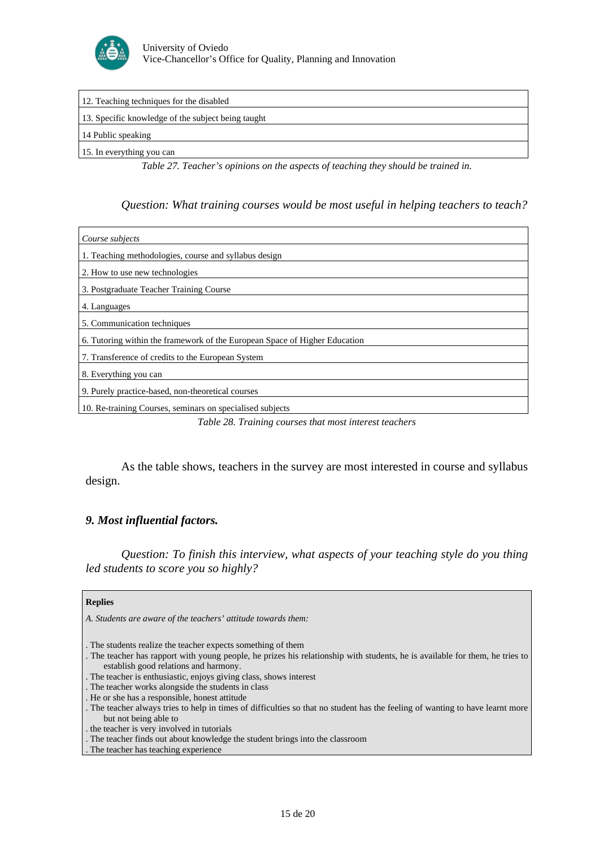

| 12. Teaching techniques for the disabled           |
|----------------------------------------------------|
| 13. Specific knowledge of the subject being taught |
| 14 Public speaking                                 |
| 15. In everything you can                          |

*Table 27. Teacher's opinions on the aspects of teaching they should be trained in.* 

*Question: What training courses would be most useful in helping teachers to teach?* 

| Course subjects                                                            |
|----------------------------------------------------------------------------|
| 1. Teaching methodologies, course and syllabus design                      |
| 2. How to use new technologies                                             |
| 3. Postgraduate Teacher Training Course                                    |
| 4. Languages                                                               |
| 5. Communication techniques                                                |
| 6. Tutoring within the framework of the European Space of Higher Education |
| 7. Transference of credits to the European System                          |
| 8. Everything you can                                                      |
| 9. Purely practice-based, non-theoretical courses                          |
| 10. Re-training Courses, seminars on specialised subjects                  |

*Table 28. Training courses that most interest teachers* 

As the table shows, teachers in the survey are most interested in course and syllabus design.

#### *9. Most influential factors.*

*Question: To finish this interview, what aspects of your teaching style do you thing led students to score you so highly?* 

#### **Replies**

*A. Students are aware of the teachers' attitude towards them:* 

- . The students realize the teacher expects something of them
- . The teacher has rapport with young people, he prizes his relationship with students, he is available for them, he tries to establish good relations and harmony.
- . The teacher is enthusiastic, enjoys giving class, shows interest
- . The teacher works alongside the students in class
- . He or she has a responsible, honest attitude
- . The teacher always tries to help in times of difficulties so that no student has the feeling of wanting to have learnt more but not being able to
- . the teacher is very involved in tutorials
- . The teacher finds out about knowledge the student brings into the classroom
- . The teacher has teaching experience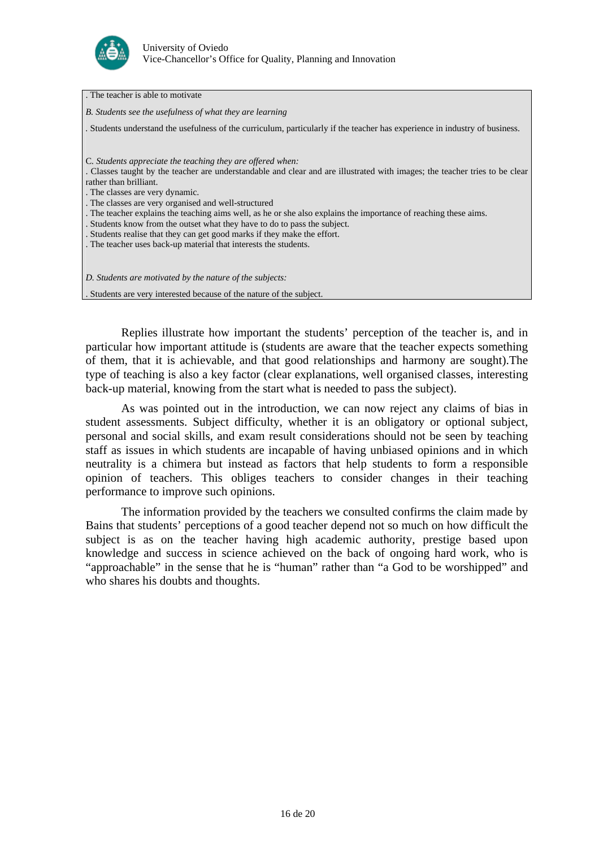

. The teacher is able to motivate

*B. Students see the usefulness of what they are learning* 

*.* Students understand the usefulness of the curriculum, particularly if the teacher has experience in industry of business.

C*. Students appreciate the teaching they are offered when:* 

. Classes taught by the teacher are understandable and clear and are illustrated with images; the teacher tries to be clear rather than brilliant.

. The classes are very dynamic.

. The classes are very organised and well-structured

. The teacher explains the teaching aims well, as he or she also explains the importance of reaching these aims.

. Students know from the outset what they have to do to pass the subject.

. Students realise that they can get good marks if they make the effort.

. The teacher uses back-up material that interests the students.

*D. Students are motivated by the nature of the subjects:* 

. Students are very interested because of the nature of the subject.

Replies illustrate how important the students' perception of the teacher is, and in particular how important attitude is (students are aware that the teacher expects something of them, that it is achievable, and that good relationships and harmony are sought).The type of teaching is also a key factor (clear explanations, well organised classes, interesting back-up material, knowing from the start what is needed to pass the subject).

As was pointed out in the introduction, we can now reject any claims of bias in student assessments. Subject difficulty, whether it is an obligatory or optional subject, personal and social skills, and exam result considerations should not be seen by teaching staff as issues in which students are incapable of having unbiased opinions and in which neutrality is a chimera but instead as factors that help students to form a responsible opinion of teachers. This obliges teachers to consider changes in their teaching performance to improve such opinions.

The information provided by the teachers we consulted confirms the claim made by Bains that students' perceptions of a good teacher depend not so much on how difficult the subject is as on the teacher having high academic authority, prestige based upon knowledge and success in science achieved on the back of ongoing hard work, who is "approachable" in the sense that he is "human" rather than "a God to be worshipped" and who shares his doubts and thoughts.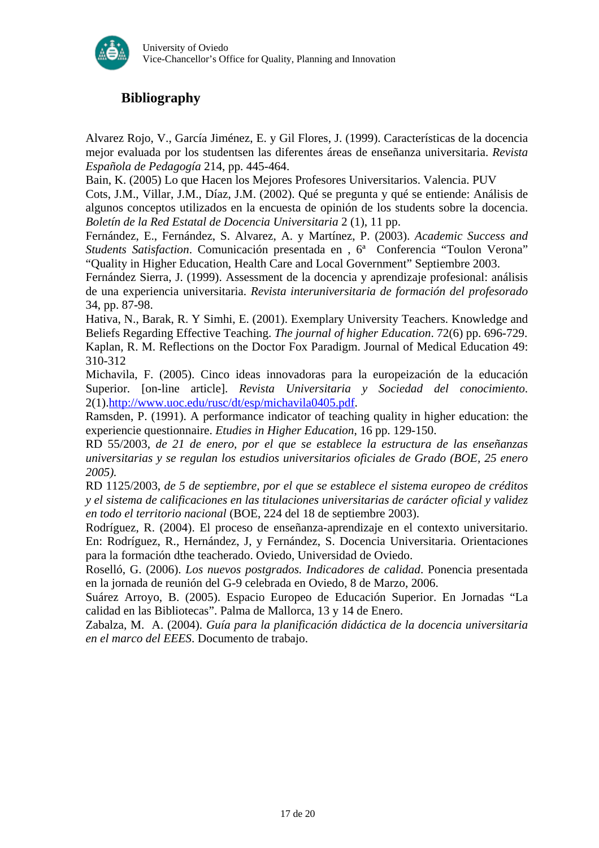

# **Bibliography**

Alvarez Rojo, V., García Jiménez, E. y Gil Flores, J. (1999). Características de la docencia mejor evaluada por los studentsen las diferentes áreas de enseñanza universitaria. *Revista Española de Pedagogía* 214, pp. 445-464.

Bain, K. (2005) Lo que Hacen los Mejores Profesores Universitarios. Valencia. PUV

Cots, J.M., Villar, J.M., Díaz, J.M. (2002). Qué se pregunta y qué se entiende: Análisis de algunos conceptos utilizados en la encuesta de opinión de los students sobre la docencia. *Boletín de la Red Estatal de Docencia Universitaria* 2 (1), 11 pp.

Fernández, E., Fernández, S. Alvarez, A. y Martínez, P. (2003). *Academic Success and Students Satisfaction*. Comunicación presentada en , 6ª Conferencia "Toulon Verona" "Quality in Higher Education, Health Care and Local Government" Septiembre 2003.

Fernández Sierra, J. (1999). Assessment de la docencia y aprendizaje profesional: análisis de una experiencia universitaria. *Revista interuniversitaria de formación del profesorado* 34, pp. 87-98.

Hativa, N., Barak, R. Y Simhi, E. (2001). Exemplary University Teachers. Knowledge and Beliefs Regarding Effective Teaching. *The journal of higher Education*. 72(6) pp. 696-729. Kaplan, R. M. Reflections on the Doctor Fox Paradigm. Journal of Medical Education 49: 310-312

Michavila, F. (2005). Cinco ideas innovadoras para la europeización de la educación Superior*.* [on-line article]. *Revista Universitaria y Sociedad del conocimiento*. 2(1)[.http://www.uoc.edu/rusc/dt/esp/michavila0405.pdf](http://www.uoc.edu/rusc/dt/esp/michavila0405.pdf).

Ramsden, P. (1991). A performance indicator of teaching quality in higher education: the experiencie questionnaire. *Etudies in Higher Education*, 16 pp. 129-150.

RD 55/2003, *de 21 de enero, por el que se establece la estructura de las enseñanzas universitarias y se regulan los estudios universitarios oficiales de Grado (BOE, 25 enero 2005).*

RD 1125/2003, *de 5 de septiembre, por el que se establece el sistema europeo de créditos y el sistema de calificaciones en las titulaciones universitarias de carácter oficial y validez en todo el territorio nacional* (BOE, 224 del 18 de septiembre 2003).

Rodríguez, R. (2004). El proceso de enseñanza-aprendizaje en el contexto universitario. En: Rodríguez, R., Hernández, J, y Fernández, S. Docencia Universitaria. Orientaciones para la formación dthe teacherado. Oviedo, Universidad de Oviedo.

Roselló, G. (2006). *Los nuevos postgrados. Indicadores de calidad*. Ponencia presentada en la jornada de reunión del G-9 celebrada en Oviedo, 8 de Marzo, 2006.

Suárez Arroyo, B. (2005). Espacio Europeo de Educación Superior. En Jornadas "La calidad en las Bibliotecas". Palma de Mallorca, 13 y 14 de Enero.

Zabalza, M. A. (2004). *Guía para la planificación didáctica de la docencia universitaria en el marco del EEES*. Documento de trabajo.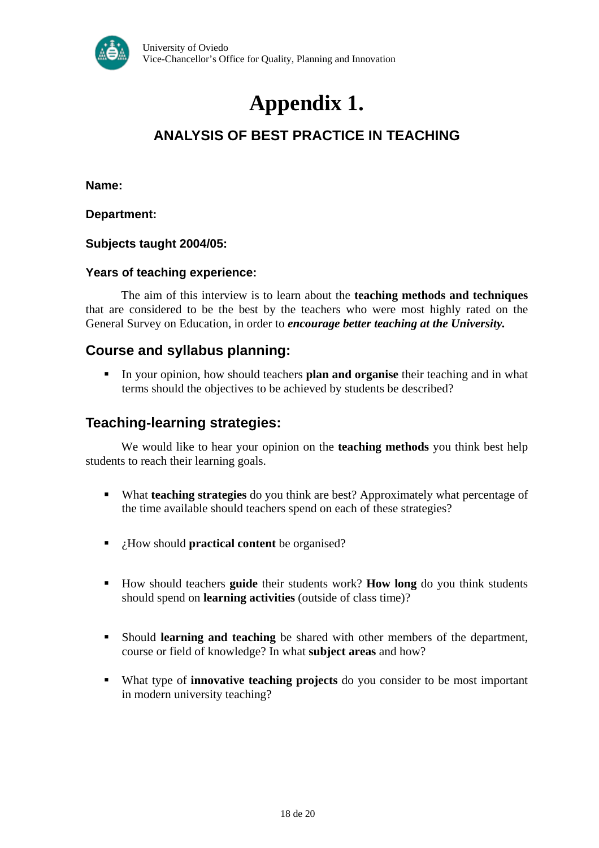

# **Appendix 1.**

# **ANALYSIS OF BEST PRACTICE IN TEACHING**

**Name:** 

**Department:** 

**Subjects taught 2004/05:** 

## **Years of teaching experience:**

The aim of this interview is to learn about the **teaching methods and techniques** that are considered to be the best by the teachers who were most highly rated on the General Survey on Education, in order to *encourage better teaching at the University.* 

## **Course and syllabus planning:**

 In your opinion, how should teachers **plan and organise** their teaching and in what terms should the objectives to be achieved by students be described?

## **Teaching-learning strategies:**

We would like to hear your opinion on the **teaching methods** you think best help students to reach their learning goals.

- What **teaching strategies** do you think are best? Approximately what percentage of the time available should teachers spend on each of these strategies?
- ¿How should **practical content** be organised?
- How should teachers **guide** their students work? **How long** do you think students should spend on **learning activities** (outside of class time)?
- Should **learning and teaching** be shared with other members of the department, course or field of knowledge? In what **subject areas** and how?
- What type of **innovative teaching projects** do you consider to be most important in modern university teaching?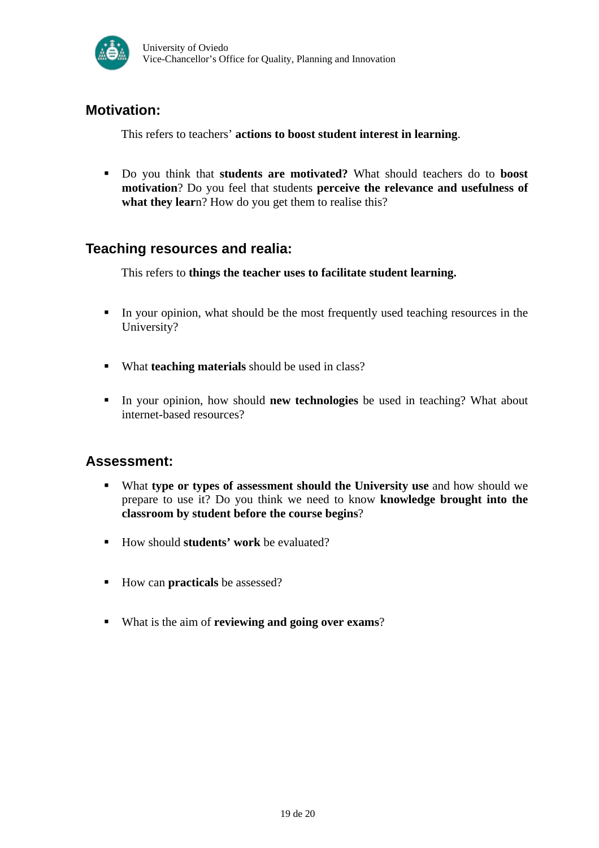

# **Motivation:**

This refers to teachers' **actions to boost student interest in learning**.

 Do you think that **students are motivated?** What should teachers do to **boost motivation**? Do you feel that students **perceive the relevance and usefulness of what they lear**n? How do you get them to realise this?

# **Teaching resources and realia:**

This refers to **things the teacher uses to facilitate student learning.** 

- In your opinion, what should be the most frequently used teaching resources in the University?
- What **teaching materials** should be used in class?
- In your opinion, how should **new technologies** be used in teaching? What about internet-based resources?

# **Assessment:**

- What **type or types of assessment should the University use** and how should we prepare to use it? Do you think we need to know **knowledge brought into the classroom by student before the course begins**?
- How should **students' work** be evaluated?
- How can **practicals** be assessed?
- What is the aim of **reviewing and going over exams**?